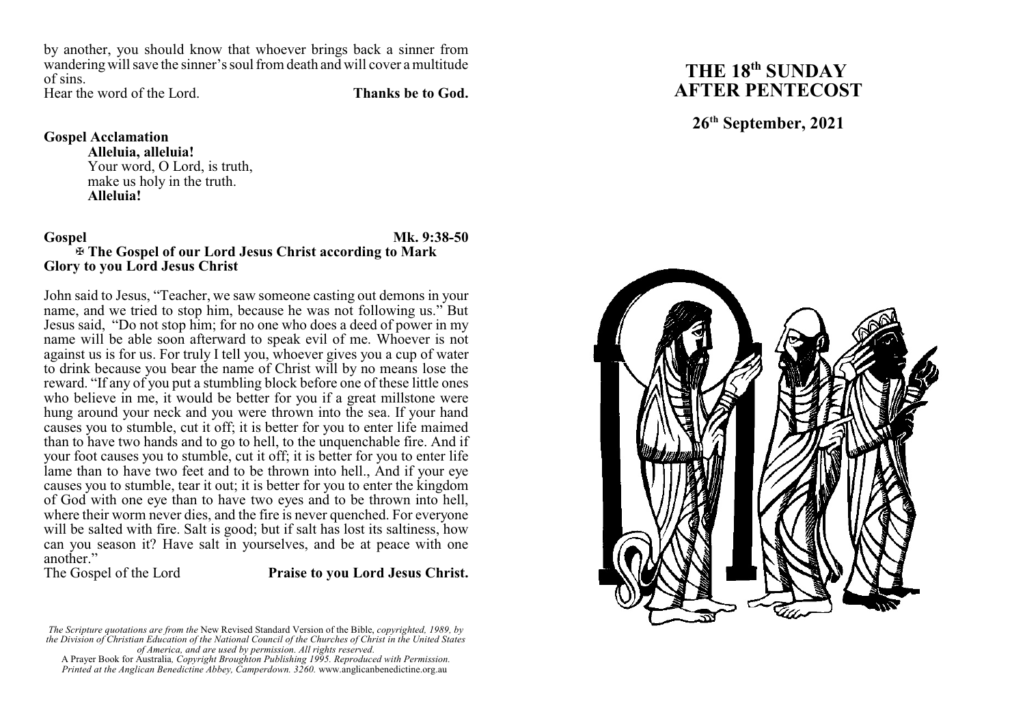by another, you should know that whoever brings back a sinner from wanderingwill save the sinner's soul from death and will cover amultitude of sins. Hear the word of the Lord. **Thanks be to God.**

## **Gospel Acclamation**

**Alleluia, alleluia!** Your word, O Lord, is truth, make us holy in the truth. **Alleluia!**

#### Gospel

**ospel Mk. 9:38-50** <sup>a</sup> **The Gospel of our Lord Jesus Christ according to Mark Glory to you Lord Jesus Christ**

John said to Jesus, "Teacher, we saw someone casting out demons in your name, and we tried to stop him, because he w a s n o t following us." But Jesus said, "Do not stop him; for no one who does a deed of power in my name w i ll be able soon afterward to speak evil of me. Whoever is not against us is for us. For truly I tell you, whoever gives you a cup of water to drink because you bear the name of Christ will by no means lose the reward. "If any of you put a stumbling block before one of these little ones who believe in me, it would be better for you if a great millstone were hung around your neck and you wer e t hro wn into the sea. If your hand causes you to stumble, cut it off; it is better for you to enter l i fe m aimed than to have two hands and to go to hell, to the unquenchable fire. And if your foot causes you to stumble, cut it off; it is better for you to enter life lame than to have two feet and to be thrown into hell., And if your eye causes you to stumble, tear it out; it is better for you to enter the king dom of God with one eye than to hav e t w o e yes and to be thrown into hell, where their worm never dies, and the fire is never quenched. For everyone will be salted with fire. Salt is good; but if salt has lost its saltiness, how can you season it? Have salt in y ourselves, and be at peace with one another"

The Gospel of the L ord

### **Praise to you Lord Jesus Christ.**

A Prayer Book for Australia*, Copyright Broughton Publishing 1995. Reproduce d w i t h Permissi o n.* Printed at the Anglican Benedictine Abbey, Camperdown. 3260. www.anglicanbenedictine.org.au

# **THE 18<sup>th</sup> SUNDAY AFTER PENTECO S T**

## **2 6 t h September, 2 0 2 1**



The Scripture quotations are from the New Revised Standard Version of the Bible, copyrighted, 1989, by the Division of Christian Education of the National Council of the Churches of Christ in the United States of America, and are used by permission. All rights reserved.